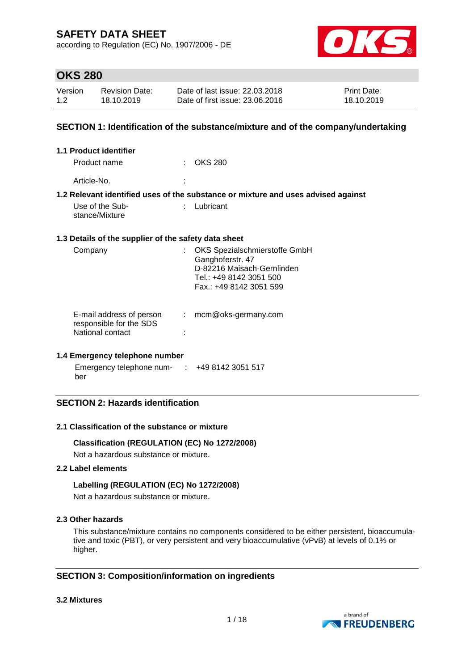according to Regulation (EC) No. 1907/2006 - DE



### **OKS 280**

| Version | <b>Revision Date:</b> | Date of last issue: 22.03.2018  | <b>Print Date:</b> |
|---------|-----------------------|---------------------------------|--------------------|
| 1.2     | 18.10.2019            | Date of first issue: 23,06,2016 | 18.10.2019         |

#### **SECTION 1: Identification of the substance/mixture and of the company/undertaking**

| 1.1 Product identifier                                                  |   |                                                                                                                                       |
|-------------------------------------------------------------------------|---|---------------------------------------------------------------------------------------------------------------------------------------|
| Product name                                                            |   | <b>OKS 280</b>                                                                                                                        |
| Article-No.                                                             |   |                                                                                                                                       |
|                                                                         |   | 1.2 Relevant identified uses of the substance or mixture and uses advised against                                                     |
| Use of the Sub-<br>stance/Mixture                                       |   | Lubricant                                                                                                                             |
| 1.3 Details of the supplier of the safety data sheet                    |   |                                                                                                                                       |
| Company                                                                 |   | OKS Spezialschmierstoffe GmbH<br>Ganghoferstr. 47<br>D-82216 Maisach-Gernlinden<br>Tel.: +49 8142 3051 500<br>Fax.: +49 8142 3051 599 |
| E-mail address of person<br>responsible for the SDS<br>National contact | ÷ | mcm@oks-germany.com                                                                                                                   |

#### **1.4 Emergency telephone number**

Emergency telephone num-: +49 8142 3051 517 ber

### **SECTION 2: Hazards identification**

#### **2.1 Classification of the substance or mixture**

#### **Classification (REGULATION (EC) No 1272/2008)**

Not a hazardous substance or mixture.

#### **2.2 Label elements**

#### **Labelling (REGULATION (EC) No 1272/2008)**

Not a hazardous substance or mixture.

#### **2.3 Other hazards**

This substance/mixture contains no components considered to be either persistent, bioaccumulative and toxic (PBT), or very persistent and very bioaccumulative (vPvB) at levels of 0.1% or higher.

### **SECTION 3: Composition/information on ingredients**

#### **3.2 Mixtures**

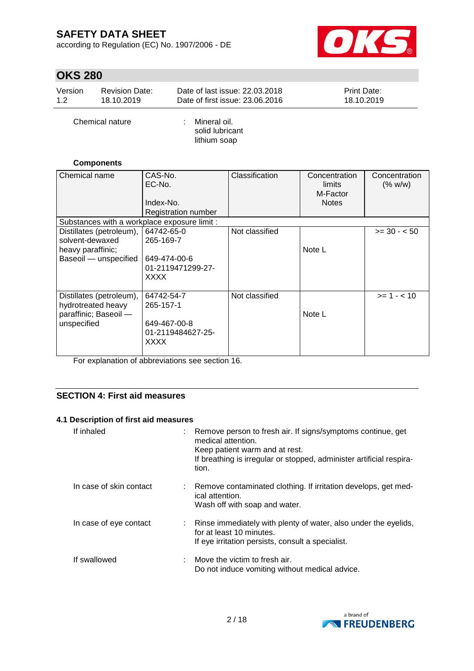according to Regulation (EC) No. 1907/2006 - DE



# **OKS 280**

| Version | <b>Revision Date:</b> | Date of last issue: 22.03.2018  | <b>Print Date:</b> |
|---------|-----------------------|---------------------------------|--------------------|
| 1.2     | 18.10.2019            | Date of first issue: 23,06,2016 | 18.10.2019         |
|         |                       |                                 |                    |

Chemical nature : Mineral oil.

solid lubricant lithium soap

#### **Components**

| Chemical name                                                                             | CAS-No.<br>EC-No.<br>Index-No.<br><b>Registration number</b>         | Classification | Concentration<br>limits<br>M-Factor<br><b>Notes</b> | Concentration<br>(% w/w) |
|-------------------------------------------------------------------------------------------|----------------------------------------------------------------------|----------------|-----------------------------------------------------|--------------------------|
| Substances with a workplace exposure limit :                                              |                                                                      |                |                                                     |                          |
| Distillates (petroleum),<br>solvent-dewaxed<br>heavy paraffinic;<br>Baseoil - unspecified | 64742-65-0<br>265-169-7<br>649-474-00-6<br>01-2119471299-27-<br>XXXX | Not classified | Note L                                              | $>= 30 - 50$             |
| Distillates (petroleum),<br>hydrotreated heavy<br>paraffinic; Baseoil -<br>unspecified    | 64742-54-7<br>265-157-1<br>649-467-00-8<br>01-2119484627-25-<br>XXXX | Not classified | Note L                                              | $>= 1 - < 10$            |

For explanation of abbreviations see section 16.

### **SECTION 4: First aid measures**

#### **4.1 Description of first aid measures**

| If inhaled              | tion.           | : Remove person to fresh air. If signs/symptoms continue, get<br>medical attention.<br>Keep patient warm and at rest.<br>If breathing is irregular or stopped, administer artificial respira- |
|-------------------------|-----------------|-----------------------------------------------------------------------------------------------------------------------------------------------------------------------------------------------|
| In case of skin contact | ical attention. | : Remove contaminated clothing. If irritation develops, get med-<br>Wash off with soap and water.                                                                                             |
| In case of eye contact  |                 | : Rinse immediately with plenty of water, also under the eyelids,<br>for at least 10 minutes.<br>If eye irritation persists, consult a specialist.                                            |
| If swallowed            |                 | $\therefore$ Move the victim to fresh air.<br>Do not induce vomiting without medical advice.                                                                                                  |

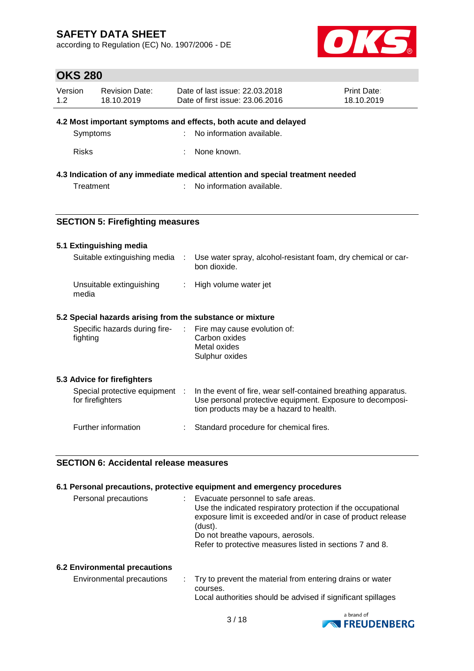according to Regulation (EC) No. 1907/2006 - DE



### **OKS 280**

| Version<br>1.2 | <b>Revision Date:</b><br>18.10.2019                       |            | Date of last issue: 22,03,2018<br>Date of first issue: 23.06.2016              | Print Date:<br>18.10.2019 |
|----------------|-----------------------------------------------------------|------------|--------------------------------------------------------------------------------|---------------------------|
|                |                                                           |            | 4.2 Most important symptoms and effects, both acute and delayed                |                           |
|                | Symptoms                                                  |            | No information available.                                                      |                           |
| <b>Risks</b>   |                                                           |            | None known.                                                                    |                           |
|                |                                                           |            | 4.3 Indication of any immediate medical attention and special treatment needed |                           |
|                | Treatment                                                 |            | No information available.                                                      |                           |
|                |                                                           |            |                                                                                |                           |
|                | <b>SECTION 5: Firefighting measures</b>                   |            |                                                                                |                           |
|                | 5.1 Extinguishing media                                   |            |                                                                                |                           |
|                | Suitable extinguishing media                              | $\sim$ 100 | Use water spray, alcohol-resistant foam, dry chemical or car-<br>bon dioxide.  |                           |
| media          | Unsuitable extinguishing                                  |            | : High volume water jet                                                        |                           |
|                | 5.2 Special hazards arising from the substance or mixture |            |                                                                                |                           |
| fighting       | Specific hazards during fire-                             |            | Fire may cause evolution of:<br>Carbon oxides                                  |                           |

Special protective equipment :

### **SECTION 6: Accidental release measures**

#### **6.1 Personal precautions, protective equipment and emergency procedures**

Further information : Standard procedure for chemical fires.

Metal oxides Sulphur oxides

In the event of fire, wear self-contained breathing apparatus. Use personal protective equipment. Exposure to decomposi-

tion products may be a hazard to health.

| Personal precautions | : Evacuate personnel to safe areas.<br>Use the indicated respiratory protection if the occupational |
|----------------------|-----------------------------------------------------------------------------------------------------|
|                      | exposure limit is exceeded and/or in case of product release<br>(dust).                             |
|                      | Do not breathe vapours, aerosols.                                                                   |
|                      | Refer to protective measures listed in sections 7 and 8.                                            |
|                      |                                                                                                     |

#### **6.2 Environmental precautions**

**5.3 Advice for firefighters**

for firefighters

| Environmental precautions | Try to prevent the material from entering drains or water    |
|---------------------------|--------------------------------------------------------------|
|                           | courses.                                                     |
|                           | Local authorities should be advised if significant spillages |

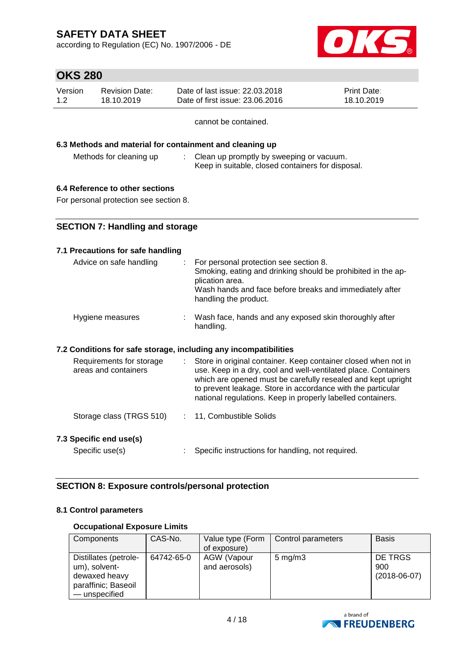according to Regulation (EC) No. 1907/2006 - DE



# **OKS 280**

| Version | Revision Date: | Date of last issue: 22.03.2018  | <b>Print Date:</b> |
|---------|----------------|---------------------------------|--------------------|
| 1.2     | 18.10.2019     | Date of first issue: 23,06,2016 | 18.10.2019         |

cannot be contained.

### **6.3 Methods and material for containment and cleaning up**

Methods for cleaning up : Clean up promptly by sweeping or vacuum. Keep in suitable, closed containers for disposal.

#### **6.4 Reference to other sections**

For personal protection see section 8.

### **SECTION 7: Handling and storage**

#### **7.1 Precautions for safe handling**

| Advice on safe handling                                          |      | For personal protection see section 8.<br>Smoking, eating and drinking should be prohibited in the ap-<br>plication area.<br>Wash hands and face before breaks and immediately after<br>handling the product.                                                                                                                  |
|------------------------------------------------------------------|------|--------------------------------------------------------------------------------------------------------------------------------------------------------------------------------------------------------------------------------------------------------------------------------------------------------------------------------|
| Hygiene measures                                                 |      | Wash face, hands and any exposed skin thoroughly after<br>handling.                                                                                                                                                                                                                                                            |
| 7.2 Conditions for safe storage, including any incompatibilities |      |                                                                                                                                                                                                                                                                                                                                |
| Requirements for storage<br>areas and containers                 | di l | Store in original container. Keep container closed when not in<br>use. Keep in a dry, cool and well-ventilated place. Containers<br>which are opened must be carefully resealed and kept upright<br>to prevent leakage. Store in accordance with the particular<br>national regulations. Keep in properly labelled containers. |
| Storage class (TRGS 510)                                         |      | : 11, Combustible Solids                                                                                                                                                                                                                                                                                                       |
| 7.3 Specific end use(s)                                          |      |                                                                                                                                                                                                                                                                                                                                |
| Specific use(s)                                                  |      | Specific instructions for handling, not required.                                                                                                                                                                                                                                                                              |
|                                                                  |      |                                                                                                                                                                                                                                                                                                                                |

### **SECTION 8: Exposure controls/personal protection**

#### **8.1 Control parameters**

#### **Occupational Exposure Limits**

| Components                                                                                      | CAS-No.    | Value type (Form<br>of exposure) | Control parameters | <b>Basis</b>                     |
|-------------------------------------------------------------------------------------------------|------------|----------------------------------|--------------------|----------------------------------|
| Distillates (petrole-<br>um), solvent-<br>dewaxed heavy<br>paraffinic; Baseoil<br>- unspecified | 64742-65-0 | AGW (Vapour<br>and aerosols)     | $5 \text{ mg/m}$ 3 | DE TRGS<br>900<br>$(2018-06-07)$ |

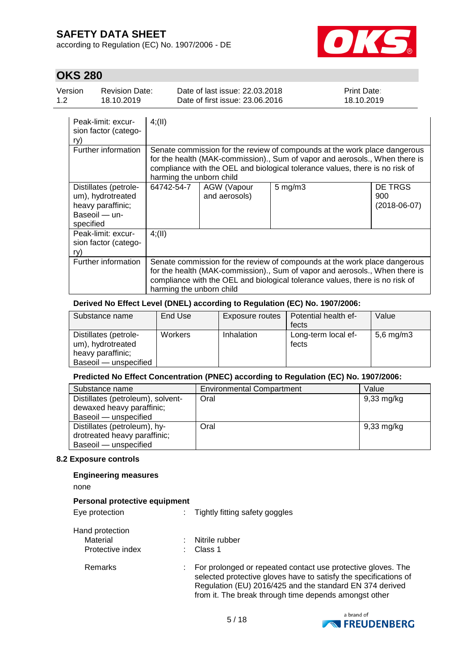according to Regulation (EC) No. 1907/2006 - DE



# **OKS 280**

| Version | <b>Revision Date:</b> | Date of last issue: 22,03,2018  | <b>Print Date:</b> |
|---------|-----------------------|---------------------------------|--------------------|
| 1.2     | 18.10.2019            | Date of first issue: 23,06,2016 | 18.10.2019         |
|         |                       |                                 |                    |

| Peak-limit: excur-<br>sion factor (catego-<br>ry)                                             | 4(11)                                                                                                                                                                                                                                                                |                              |                    |                                      |  |
|-----------------------------------------------------------------------------------------------|----------------------------------------------------------------------------------------------------------------------------------------------------------------------------------------------------------------------------------------------------------------------|------------------------------|--------------------|--------------------------------------|--|
| Further information                                                                           | Senate commission for the review of compounds at the work place dangerous<br>for the health (MAK-commission)., Sum of vapor and aerosols., When there is<br>compliance with the OEL and biological tolerance values, there is no risk of<br>harming the unborn child |                              |                    |                                      |  |
| Distillates (petrole-<br>um), hydrotreated<br>heavy paraffinic;<br>Baseoil - un-<br>specified | 64742-54-7                                                                                                                                                                                                                                                           | AGW (Vapour<br>and aerosols) | $5 \text{ mg/m}$ 3 | DE TRGS<br>900<br>$(2018 - 06 - 07)$ |  |
| Peak-limit: excur-<br>sion factor (catego-<br>ry)                                             | 4(11)                                                                                                                                                                                                                                                                |                              |                    |                                      |  |
| Further information                                                                           | Senate commission for the review of compounds at the work place dangerous<br>for the health (MAK-commission)., Sum of vapor and aerosols., When there is<br>compliance with the OEL and biological tolerance values, there is no risk of<br>harming the unborn child |                              |                    |                                      |  |

#### **Derived No Effect Level (DNEL) according to Regulation (EC) No. 1907/2006:**

| Substance name                                                                           | End Use | Exposure routes | Potential health ef-<br>fects | Value        |
|------------------------------------------------------------------------------------------|---------|-----------------|-------------------------------|--------------|
| Distillates (petrole-<br>um), hydrotreated<br>heavy paraffinic;<br>Baseoil — unspecified | Workers | Inhalation      | Long-term local ef-<br>fects  | 5,6 mg/m $3$ |

#### **Predicted No Effect Concentration (PNEC) according to Regulation (EC) No. 1907/2006:**

| Substance name                    | <b>Environmental Compartment</b> | Value                |
|-----------------------------------|----------------------------------|----------------------|
| Distillates (petroleum), solvent- | Oral                             | $9,33 \text{ mg/kg}$ |
| dewaxed heavy paraffinic;         |                                  |                      |
| Baseoil - unspecified             |                                  |                      |
| Distillates (petroleum), hy-      | Oral                             | $9,33 \text{ mg/kg}$ |
| drotreated heavy paraffinic;      |                                  |                      |
| Baseoil - unspecified             |                                  |                      |

#### **8.2 Exposure controls**

#### **Engineering measures**

none

| Personal protective equipment                   |  |                                                                                                                                                                                                                                                       |  |  |
|-------------------------------------------------|--|-------------------------------------------------------------------------------------------------------------------------------------------------------------------------------------------------------------------------------------------------------|--|--|
| Eye protection                                  |  | Tightly fitting safety goggles                                                                                                                                                                                                                        |  |  |
| Hand protection<br>Material<br>Protective index |  | Nitrile rubber<br>Class 1                                                                                                                                                                                                                             |  |  |
| Remarks                                         |  | For prolonged or repeated contact use protective gloves. The<br>selected protective gloves have to satisfy the specifications of<br>Regulation (EU) 2016/425 and the standard EN 374 derived<br>from it. The break through time depends amongst other |  |  |

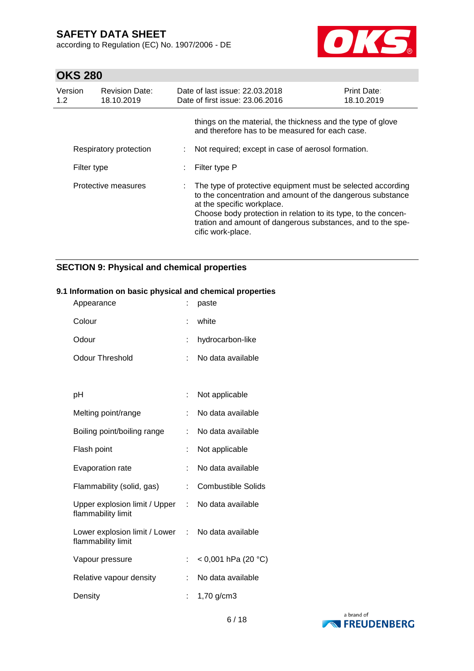according to Regulation (EC) No. 1907/2006 - DE



### **OKS 280**

| Version<br>1.2      | <b>Revision Date:</b><br>18.10.2019 |    | Date of last issue: 22.03.2018<br>Date of first issue: 23.06.2016                                                                                                                                                                                                                                             | <b>Print Date:</b><br>18.10.2019 |
|---------------------|-------------------------------------|----|---------------------------------------------------------------------------------------------------------------------------------------------------------------------------------------------------------------------------------------------------------------------------------------------------------------|----------------------------------|
|                     |                                     |    | things on the material, the thickness and the type of glove<br>and therefore has to be measured for each case.                                                                                                                                                                                                |                                  |
|                     | Respiratory protection              |    | Not required; except in case of aerosol formation.                                                                                                                                                                                                                                                            |                                  |
| Filter type         |                                     |    | Filter type P                                                                                                                                                                                                                                                                                                 |                                  |
| Protective measures |                                     | ÷. | The type of protective equipment must be selected according<br>to the concentration and amount of the dangerous substance<br>at the specific workplace.<br>Choose body protection in relation to its type, to the concen-<br>tration and amount of dangerous substances, and to the spe-<br>cific work-place. |                                  |

### **SECTION 9: Physical and chemical properties**

# Appearance : paste Colour : white Odour : hydrocarbon-like Odour Threshold : No data available pH : Not applicable Melting point/range : No data available Boiling point/boiling range : No data available Flash point : Not applicable Evaporation rate : No data available Flammability (solid, gas) : Combustible Solids Upper explosion limit / Upper : flammability limit No data available Lower explosion limit / Lower : No data available flammability limit Vapour pressure : < 0,001 hPa (20 °C) Relative vapour density : No data available Density : 1,70 g/cm3

#### **9.1 Information on basic physical and chemical properties**

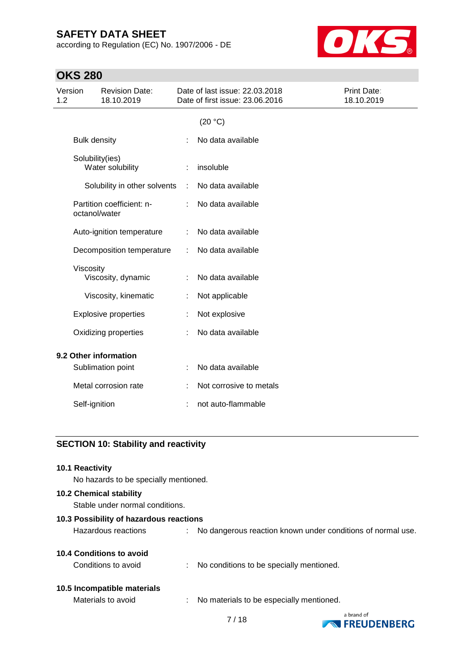according to Regulation (EC) No. 1907/2006 - DE



# **OKS 280**

| Version<br><b>Revision Date:</b><br>1.2<br>18.10.2019 | Date of last issue: 22.03.2018<br>Date of first issue: 23.06.2016 | Print Date:<br>18.10.2019 |
|-------------------------------------------------------|-------------------------------------------------------------------|---------------------------|
|                                                       | (20 °C)                                                           |                           |
| <b>Bulk density</b>                                   | No data available                                                 |                           |
| Solubility(ies)<br>Water solubility                   | insoluble                                                         |                           |
| Solubility in other solvents                          | No data available<br>÷                                            |                           |
| Partition coefficient: n-<br>octanol/water            | No data available                                                 |                           |
| Auto-ignition temperature                             | No data available<br>÷                                            |                           |
| Decomposition temperature                             | No data available<br>÷                                            |                           |
| Viscosity<br>Viscosity, dynamic                       | No data available                                                 |                           |
| Viscosity, kinematic                                  | Not applicable                                                    |                           |
| <b>Explosive properties</b>                           | Not explosive                                                     |                           |
| Oxidizing properties                                  | No data available                                                 |                           |
| 9.2 Other information                                 |                                                                   |                           |
| Sublimation point                                     | No data available                                                 |                           |
| Metal corrosion rate                                  | Not corrosive to metals                                           |                           |
| Self-ignition                                         | not auto-flammable                                                |                           |

### **SECTION 10: Stability and reactivity**

| 10.1 Reactivity<br>No hazards to be specially mentioned.          |   |                                                             |
|-------------------------------------------------------------------|---|-------------------------------------------------------------|
| <b>10.2 Chemical stability</b><br>Stable under normal conditions. |   |                                                             |
| 10.3 Possibility of hazardous reactions                           |   |                                                             |
| Hazardous reactions                                               |   | No dangerous reaction known under conditions of normal use. |
| 10.4 Conditions to avoid                                          |   |                                                             |
| Conditions to avoid                                               |   | : No conditions to be specially mentioned.                  |
| 10.5 Incompatible materials                                       |   |                                                             |
| Materials to avoid                                                | ÷ | No materials to be especially mentioned.                    |

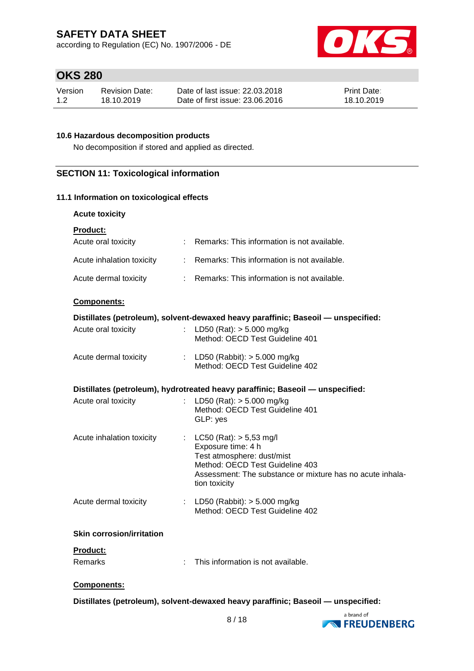according to Regulation (EC) No. 1907/2006 - DE



### **OKS 280**

| Version | <b>Revision Date:</b> | Date of last issue: 22.03.2018  | <b>Print Date:</b> |
|---------|-----------------------|---------------------------------|--------------------|
| 1.2     | 18.10.2019            | Date of first issue: 23,06,2016 | 18.10.2019         |

### **10.6 Hazardous decomposition products**

No decomposition if stored and applied as directed.

### **SECTION 11: Toxicological information**

#### **11.1 Information on toxicological effects**

| <b>Acute toxicity</b> |
|-----------------------|
|                       |

| <b>Product:</b>                  |                                                                                                                                                                                                     |  |
|----------------------------------|-----------------------------------------------------------------------------------------------------------------------------------------------------------------------------------------------------|--|
| Acute oral toxicity              | : Remarks: This information is not available.                                                                                                                                                       |  |
| Acute inhalation toxicity        | : Remarks: This information is not available.                                                                                                                                                       |  |
| Acute dermal toxicity            | $\therefore$ Remarks: This information is not available.                                                                                                                                            |  |
| Components:                      |                                                                                                                                                                                                     |  |
|                                  | Distillates (petroleum), solvent-dewaxed heavy paraffinic; Baseoil - unspecified:                                                                                                                   |  |
| Acute oral toxicity              | LD50 (Rat): $> 5.000$ mg/kg<br>$\mathcal{L}$<br>Method: OECD Test Guideline 401                                                                                                                     |  |
| Acute dermal toxicity            | : LD50 (Rabbit): $>$ 5.000 mg/kg<br>Method: OECD Test Guideline 402                                                                                                                                 |  |
|                                  | Distillates (petroleum), hydrotreated heavy paraffinic; Baseoil — unspecified:                                                                                                                      |  |
| Acute oral toxicity              | LD50 (Rat): $> 5.000$ mg/kg<br>Method: OECD Test Guideline 401<br>GLP: yes                                                                                                                          |  |
| Acute inhalation toxicity        | : $LC50 (Rat)$ : $> 5,53$ mg/l<br>Exposure time: 4 h<br>Test atmosphere: dust/mist<br>Method: OECD Test Guideline 403<br>Assessment: The substance or mixture has no acute inhala-<br>tion toxicity |  |
| Acute dermal toxicity            | : LD50 (Rabbit): $> 5.000$ mg/kg<br>Method: OECD Test Guideline 402                                                                                                                                 |  |
| <b>Skin corrosion/irritation</b> |                                                                                                                                                                                                     |  |
| Product:                         |                                                                                                                                                                                                     |  |
| Remarks                          | This information is not available.                                                                                                                                                                  |  |
|                                  |                                                                                                                                                                                                     |  |

#### **Components:**

**Distillates (petroleum), solvent-dewaxed heavy paraffinic; Baseoil — unspecified:**

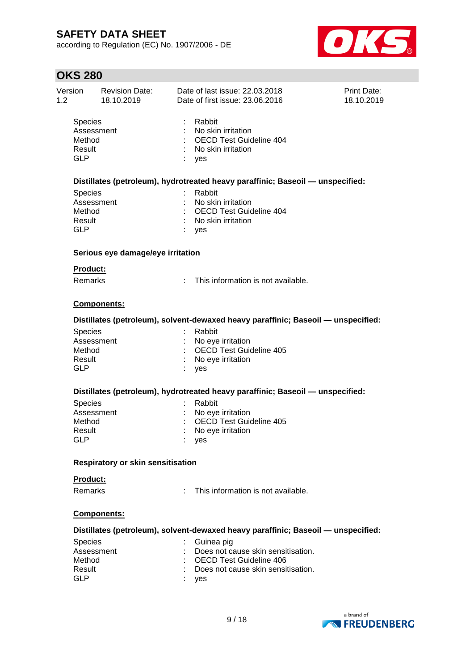according to Regulation (EC) No. 1907/2006 - DE



| Version<br>1.2                                   | <b>Revision Date:</b><br>18.10.2019 | Date of last issue: 22.03.2018<br>Date of first issue: 23.06.2016                                                                                                                                                    | <b>Print Date:</b><br>18.10.2019 |
|--------------------------------------------------|-------------------------------------|----------------------------------------------------------------------------------------------------------------------------------------------------------------------------------------------------------------------|----------------------------------|
| Species<br>Method<br>Result<br><b>GLP</b>        | Assessment                          | Rabbit<br>No skin irritation<br><b>OECD Test Guideline 404</b><br>No skin irritation<br>yes                                                                                                                          |                                  |
|                                                  |                                     | Distillates (petroleum), hydrotreated heavy paraffinic; Baseoil — unspecified:                                                                                                                                       |                                  |
| <b>Species</b><br>Method<br>Result<br><b>GLP</b> | Assessment                          | Rabbit<br>No skin irritation<br><b>OECD Test Guideline 404</b><br>No skin irritation<br>yes                                                                                                                          |                                  |
|                                                  | Serious eye damage/eye irritation   |                                                                                                                                                                                                                      |                                  |
| <b>Product:</b><br>Remarks                       |                                     | This information is not available.                                                                                                                                                                                   |                                  |
|                                                  | Components:                         |                                                                                                                                                                                                                      |                                  |
|                                                  |                                     | Distillates (petroleum), solvent-dewaxed heavy paraffinic; Baseoil - unspecified:                                                                                                                                    |                                  |
| <b>Species</b><br>Method<br>Result<br><b>GLP</b> | Assessment                          | Rabbit<br>No eye irritation<br><b>OECD Test Guideline 405</b><br>No eye irritation<br>yes                                                                                                                            |                                  |
|                                                  |                                     | Distillates (petroleum), hydrotreated heavy paraffinic; Baseoil — unspecified:                                                                                                                                       |                                  |
| Species<br>Method<br>Result<br><b>GLP</b>        | Assessment                          | Rabbit<br>No eye irritation<br><b>OECD Test Guideline 405</b><br>No eye irritation<br>yes                                                                                                                            |                                  |
|                                                  | Respiratory or skin sensitisation   |                                                                                                                                                                                                                      |                                  |
| Product:                                         |                                     |                                                                                                                                                                                                                      |                                  |
| <b>Remarks</b>                                   |                                     | This information is not available.                                                                                                                                                                                   |                                  |
|                                                  | <b>Components:</b>                  |                                                                                                                                                                                                                      |                                  |
| <b>Species</b><br>Method<br>Result<br><b>GLP</b> | Assessment                          | Distillates (petroleum), solvent-dewaxed heavy paraffinic; Baseoil - unspecified:<br>Guinea pig<br>Does not cause skin sensitisation.<br><b>OECD Test Guideline 406</b><br>Does not cause skin sensitisation.<br>yes |                                  |

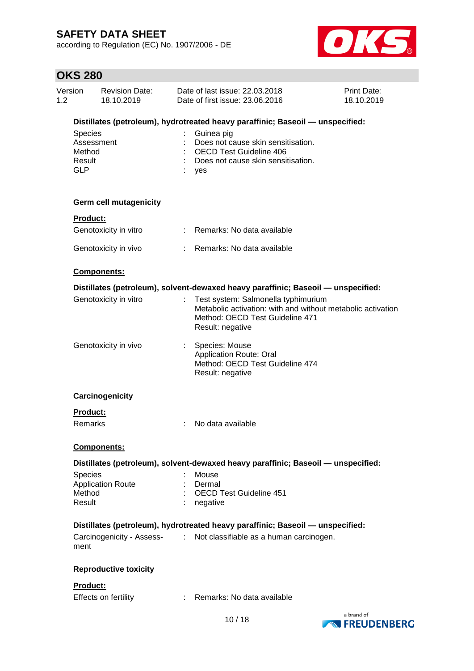according to Regulation (EC) No. 1907/2006 - DE



| Version<br>1.2                                                                 | <b>Revision Date:</b><br>18.10.2019                            |  | Date of last issue: 22,03,2018<br>Date of first issue: 23.06.2016                                                                                         | <b>Print Date:</b><br>18.10.2019    |
|--------------------------------------------------------------------------------|----------------------------------------------------------------|--|-----------------------------------------------------------------------------------------------------------------------------------------------------------|-------------------------------------|
| Distillates (petroleum), hydrotreated heavy paraffinic; Baseoil - unspecified: |                                                                |  |                                                                                                                                                           |                                     |
|                                                                                | <b>Species</b><br>Assessment<br>Method<br>Result<br><b>GLP</b> |  | Guinea pig<br>Does not cause skin sensitisation.<br><b>OECD Test Guideline 406</b><br>Does not cause skin sensitisation.<br>yes                           |                                     |
|                                                                                | <b>Germ cell mutagenicity</b>                                  |  |                                                                                                                                                           |                                     |
|                                                                                | <b>Product:</b>                                                |  |                                                                                                                                                           |                                     |
|                                                                                | Genotoxicity in vitro                                          |  | : Remarks: No data available                                                                                                                              |                                     |
|                                                                                | Genotoxicity in vivo                                           |  | : Remarks: No data available                                                                                                                              |                                     |
|                                                                                | Components:                                                    |  |                                                                                                                                                           |                                     |
|                                                                                |                                                                |  | Distillates (petroleum), solvent-dewaxed heavy paraffinic; Baseoil - unspecified:                                                                         |                                     |
|                                                                                | Genotoxicity in vitro                                          |  | Test system: Salmonella typhimurium<br>Metabolic activation: with and without metabolic activation<br>Method: OECD Test Guideline 471<br>Result: negative |                                     |
|                                                                                | Genotoxicity in vivo                                           |  | Species: Mouse<br>Application Route: Oral<br>Method: OECD Test Guideline 474<br>Result: negative                                                          |                                     |
|                                                                                | Carcinogenicity                                                |  |                                                                                                                                                           |                                     |
|                                                                                | <b>Product:</b>                                                |  |                                                                                                                                                           |                                     |
|                                                                                | Remarks                                                        |  | No data available                                                                                                                                         |                                     |
|                                                                                | Components:                                                    |  |                                                                                                                                                           |                                     |
|                                                                                |                                                                |  | Distillates (petroleum), solvent-dewaxed heavy paraffinic; Baseoil - unspecified:                                                                         |                                     |
|                                                                                | <b>Species</b>                                                 |  | Mouse                                                                                                                                                     |                                     |
|                                                                                | <b>Application Route</b>                                       |  | Dermal                                                                                                                                                    |                                     |
|                                                                                | Method<br>Result                                               |  | <b>OECD Test Guideline 451</b><br>negative                                                                                                                |                                     |
|                                                                                |                                                                |  | Distillates (petroleum), hydrotreated heavy paraffinic; Baseoil — unspecified:                                                                            |                                     |
|                                                                                | Carcinogenicity - Assess-<br>:<br>ment                         |  | Not classifiable as a human carcinogen.                                                                                                                   |                                     |
|                                                                                | <b>Reproductive toxicity</b>                                   |  |                                                                                                                                                           |                                     |
|                                                                                | <b>Product:</b>                                                |  |                                                                                                                                                           |                                     |
|                                                                                | Effects on fertility                                           |  | Remarks: No data available                                                                                                                                |                                     |
|                                                                                |                                                                |  | 10/18                                                                                                                                                     | a brand of<br><b>NO FREUDENBERG</b> |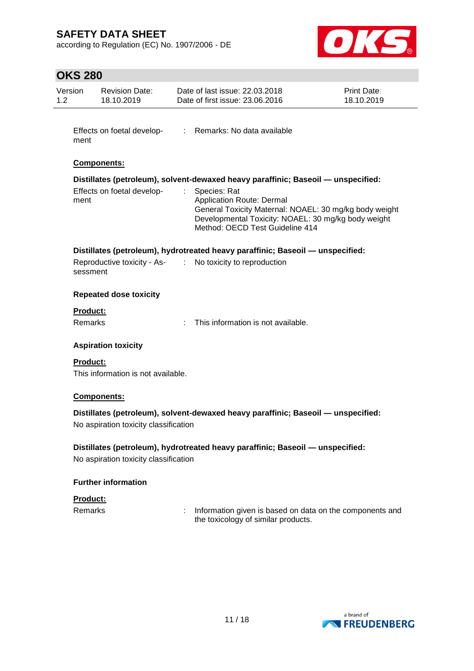according to Regulation (EC) No. 1907/2006 - DE



| Version<br>$1.2^{\circ}$ | <b>Revision Date:</b><br>18.10.2019   |    | Date of last issue: 22.03.2018<br>Date of first issue: 23,06,2016                                                                                                                                    | Print Date:<br>18.10.2019 |
|--------------------------|---------------------------------------|----|------------------------------------------------------------------------------------------------------------------------------------------------------------------------------------------------------|---------------------------|
| ment                     |                                       |    | Effects on foetal develop- : Remarks: No data available                                                                                                                                              |                           |
|                          | <b>Components:</b>                    |    |                                                                                                                                                                                                      |                           |
|                          |                                       |    | Distillates (petroleum), solvent-dewaxed heavy paraffinic; Baseoil - unspecified:                                                                                                                    |                           |
| ment                     | Effects on foetal develop-            | t. | Species: Rat<br><b>Application Route: Dermal</b><br>General Toxicity Maternal: NOAEL: 30 mg/kg body weight<br>Developmental Toxicity: NOAEL: 30 mg/kg body weight<br>Method: OECD Test Guideline 414 |                           |
|                          |                                       |    | Distillates (petroleum), hydrotreated heavy paraffinic; Baseoil - unspecified:                                                                                                                       |                           |
| sessment                 |                                       |    | Reproductive toxicity - As- : No toxicity to reproduction                                                                                                                                            |                           |
|                          | <b>Repeated dose toxicity</b>         |    |                                                                                                                                                                                                      |                           |
| <b>Product:</b>          |                                       |    |                                                                                                                                                                                                      |                           |
| Remarks                  |                                       |    | : This information is not available.                                                                                                                                                                 |                           |
|                          | <b>Aspiration toxicity</b>            |    |                                                                                                                                                                                                      |                           |
| <b>Product:</b>          | This information is not available.    |    |                                                                                                                                                                                                      |                           |
|                          | Components:                           |    |                                                                                                                                                                                                      |                           |
|                          | No aspiration toxicity classification |    | Distillates (petroleum), solvent-dewaxed heavy paraffinic; Baseoil - unspecified:                                                                                                                    |                           |
|                          | No aspiration toxicity classification |    | Distillates (petroleum), hydrotreated heavy paraffinic; Baseoil - unspecified:                                                                                                                       |                           |
|                          | <b>Further information</b>            |    |                                                                                                                                                                                                      |                           |
| Product:                 |                                       |    |                                                                                                                                                                                                      |                           |
| <b>Remarks</b>           |                                       |    | Information given is based on data on the components and<br>the toxicology of similar products.                                                                                                      |                           |
|                          |                                       |    |                                                                                                                                                                                                      |                           |

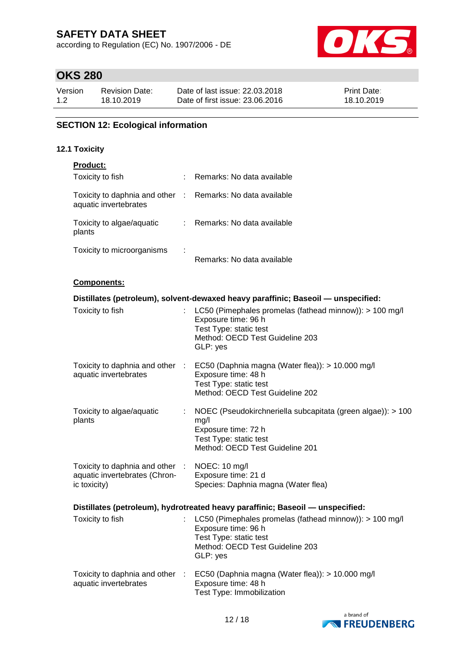according to Regulation (EC) No. 1907/2006 - DE



# **OKS 280**

| Version | <b>Revision Date:</b> | Date of last issue: 22,03,2018  | Print Date: |
|---------|-----------------------|---------------------------------|-------------|
| 1.2     | 18.10.2019            | Date of first issue: 23.06.2016 | 18.10.2019  |

### **SECTION 12: Ecological information**

#### **12.1 Toxicity**

| Product:                                                                            |    |                                                                                                                                                                            |
|-------------------------------------------------------------------------------------|----|----------------------------------------------------------------------------------------------------------------------------------------------------------------------------|
| Toxicity to fish                                                                    |    | : Remarks: No data available                                                                                                                                               |
| Toxicity to daphnia and other : Remarks: No data available<br>aquatic invertebrates |    |                                                                                                                                                                            |
| Toxicity to algae/aquatic<br>plants                                                 |    | : Remarks: No data available                                                                                                                                               |
| Toxicity to microorganisms                                                          |    | Remarks: No data available                                                                                                                                                 |
| Components:                                                                         |    |                                                                                                                                                                            |
|                                                                                     |    | Distillates (petroleum), solvent-dewaxed heavy paraffinic; Baseoil - unspecified:                                                                                          |
| Toxicity to fish                                                                    |    | LC50 (Pimephales promelas (fathead minnow)): > 100 mg/l<br>Exposure time: 96 h<br>Test Type: static test<br>Method: OECD Test Guideline 203<br>GLP: yes                    |
| aquatic invertebrates                                                               |    | Toxicity to daphnia and other : EC50 (Daphnia magna (Water flea)): > 10.000 mg/l<br>Exposure time: 48 h<br>Test Type: static test<br>Method: OECD Test Guideline 202       |
| Toxicity to algae/aquatic<br>plants                                                 | ÷. | NOEC (Pseudokirchneriella subcapitata (green algae)): > 100<br>mg/l<br>Exposure time: 72 h<br>Test Type: static test<br>Method: OECD Test Guideline 201                    |
| Toxicity to daphnia and other :<br>aquatic invertebrates (Chron-<br>ic toxicity)    |    | NOEC: 10 mg/l<br>Exposure time: 21 d<br>Species: Daphnia magna (Water flea)                                                                                                |
|                                                                                     |    | Distillates (petroleum), hydrotreated heavy paraffinic; Baseoil - unspecified:                                                                                             |
|                                                                                     |    | Toxicity to fish : LC50 (Pimephales promelas (fathead minnow)): > 100 mg/l<br>Exposure time: 96 h<br>Test Type: static test<br>Method: OECD Test Guideline 203<br>GLP: yes |
| Toxicity to daphnia and other<br>aquatic invertebrates                              | ÷  | EC50 (Daphnia magna (Water flea)): > 10.000 mg/l<br>Exposure time: 48 h                                                                                                    |



Test Type: Immobilization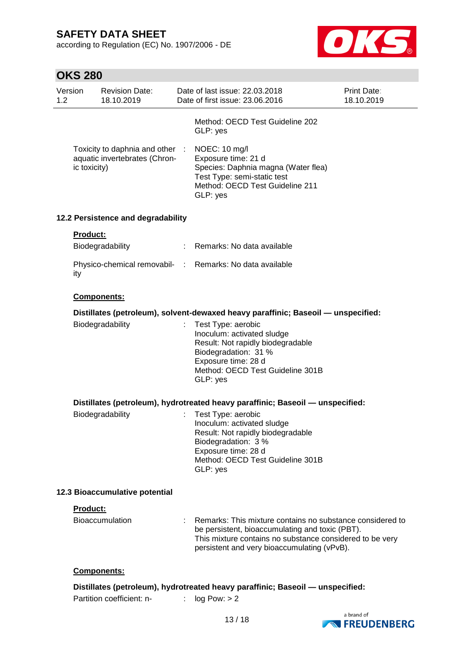according to Regulation (EC) No. 1907/2006 - DE



| Version<br>1.2 |                 | <b>Revision Date:</b><br>18.10.2019                              | Date of last issue: 22.03.2018<br>Date of first issue: 23.06.2016                                                                                                                                                       | Print Date:<br>18.10.2019 |
|----------------|-----------------|------------------------------------------------------------------|-------------------------------------------------------------------------------------------------------------------------------------------------------------------------------------------------------------------------|---------------------------|
|                |                 |                                                                  | Method: OECD Test Guideline 202<br>GLP: yes                                                                                                                                                                             |                           |
|                | ic toxicity)    | Toxicity to daphnia and other :<br>aquatic invertebrates (Chron- | NOEC: 10 mg/l<br>Exposure time: 21 d<br>Species: Daphnia magna (Water flea)<br>Test Type: semi-static test<br>Method: OECD Test Guideline 211<br>GLP: yes                                                               |                           |
|                |                 | 12.2 Persistence and degradability                               |                                                                                                                                                                                                                         |                           |
|                | Product:        |                                                                  |                                                                                                                                                                                                                         |                           |
|                |                 | Biodegradability                                                 | : Remarks: No data available                                                                                                                                                                                            |                           |
|                | ity             |                                                                  | Physico-chemical removabil- : Remarks: No data available                                                                                                                                                                |                           |
|                |                 | Components:                                                      |                                                                                                                                                                                                                         |                           |
|                |                 |                                                                  | Distillates (petroleum), solvent-dewaxed heavy paraffinic; Baseoil - unspecified:                                                                                                                                       |                           |
|                |                 | Biodegradability                                                 | Test Type: aerobic<br>Inoculum: activated sludge<br>Result: Not rapidly biodegradable<br>Biodegradation: 31 %<br>Exposure time: 28 d<br>Method: OECD Test Guideline 301B<br>GLP: yes                                    |                           |
|                |                 |                                                                  | Distillates (petroleum), hydrotreated heavy paraffinic; Baseoil — unspecified:                                                                                                                                          |                           |
|                |                 | Biodegradability                                                 | Test Type: aerobic<br>Inoculum: activated sludge<br>Result: Not rapidly biodegradable<br>Biodegradation: 3 %<br>Exposure time: 28 d<br>Method: OECD Test Guideline 301B<br>GLP: yes                                     |                           |
|                |                 | 12.3 Bioaccumulative potential                                   |                                                                                                                                                                                                                         |                           |
|                | <b>Product:</b> |                                                                  |                                                                                                                                                                                                                         |                           |
|                |                 | Bioaccumulation                                                  | Remarks: This mixture contains no substance considered to<br>be persistent, bioaccumulating and toxic (PBT).<br>This mixture contains no substance considered to be very<br>persistent and very bioaccumulating (vPvB). |                           |
|                |                 | <b>Components:</b>                                               |                                                                                                                                                                                                                         |                           |
|                |                 | Partition coefficient: n-                                        | Distillates (petroleum), hydrotreated heavy paraffinic; Baseoil — unspecified:<br>log Pow: > 2                                                                                                                          |                           |
|                |                 |                                                                  |                                                                                                                                                                                                                         |                           |

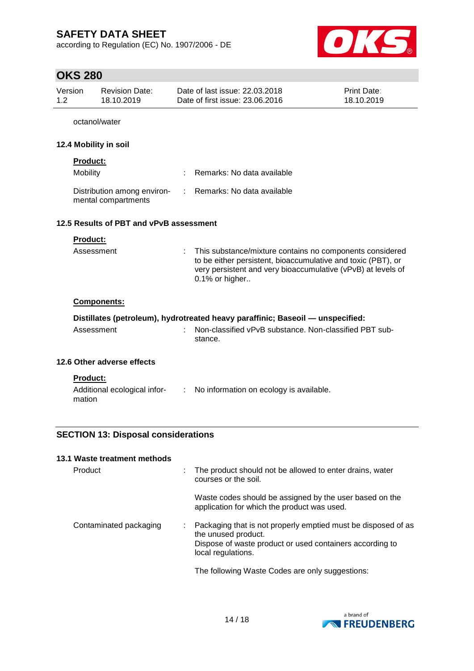according to Regulation (EC) No. 1907/2006 - DE



| Print Date:<br>18.10.2019                                                                                                                                                                |
|------------------------------------------------------------------------------------------------------------------------------------------------------------------------------------------|
|                                                                                                                                                                                          |
|                                                                                                                                                                                          |
|                                                                                                                                                                                          |
|                                                                                                                                                                                          |
|                                                                                                                                                                                          |
|                                                                                                                                                                                          |
| This substance/mixture contains no components considered<br>to be either persistent, bioaccumulative and toxic (PBT), or<br>very persistent and very bioaccumulative (vPvB) at levels of |
|                                                                                                                                                                                          |
| Distillates (petroleum), hydrotreated heavy paraffinic; Baseoil — unspecified:                                                                                                           |
| Non-classified vPvB substance. Non-classified PBT sub-                                                                                                                                   |
|                                                                                                                                                                                          |
|                                                                                                                                                                                          |
|                                                                                                                                                                                          |

| Product                | The product should not be allowed to enter drains, water<br>courses or the soil.                                                                                       |
|------------------------|------------------------------------------------------------------------------------------------------------------------------------------------------------------------|
|                        | Waste codes should be assigned by the user based on the<br>application for which the product was used.                                                                 |
| Contaminated packaging | Packaging that is not properly emptied must be disposed of as<br>the unused product.<br>Dispose of waste product or used containers according to<br>local regulations. |
|                        | The following Waste Codes are only suggestions:                                                                                                                        |

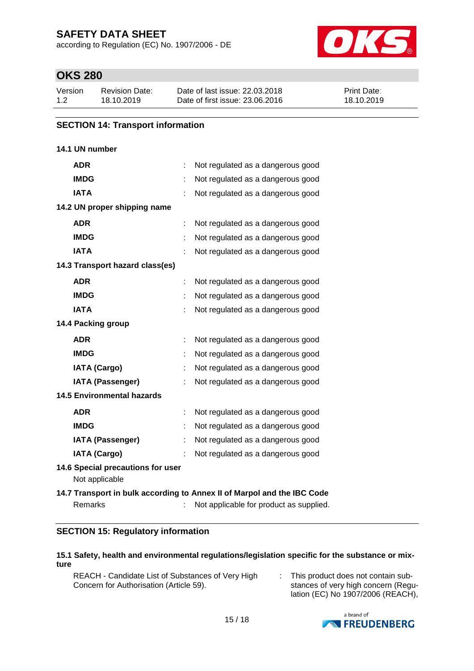according to Regulation (EC) No. 1907/2006 - DE



### **OKS 280**

| Version | Revision Date: | Date of last issue: 22.03.2018  | <b>Print Date:</b> |
|---------|----------------|---------------------------------|--------------------|
| 1.2     | 18.10.2019     | Date of first issue: 23,06,2016 | 18.10.2019         |

#### **SECTION 14: Transport information**

#### **14.1 UN number**

| <b>ADR</b>                                          |   | Not regulated as a dangerous good                                                                                  |
|-----------------------------------------------------|---|--------------------------------------------------------------------------------------------------------------------|
| <b>IMDG</b>                                         |   | Not regulated as a dangerous good                                                                                  |
| <b>IATA</b>                                         |   | Not regulated as a dangerous good                                                                                  |
| 14.2 UN proper shipping name                        |   |                                                                                                                    |
| <b>ADR</b>                                          |   | Not regulated as a dangerous good                                                                                  |
| <b>IMDG</b>                                         |   | Not regulated as a dangerous good                                                                                  |
| <b>IATA</b>                                         |   | Not regulated as a dangerous good                                                                                  |
| 14.3 Transport hazard class(es)                     |   |                                                                                                                    |
| <b>ADR</b>                                          |   | Not regulated as a dangerous good                                                                                  |
| <b>IMDG</b>                                         |   | Not regulated as a dangerous good                                                                                  |
| <b>IATA</b>                                         |   | Not regulated as a dangerous good                                                                                  |
| 14.4 Packing group                                  |   |                                                                                                                    |
| <b>ADR</b>                                          | ÷ | Not regulated as a dangerous good                                                                                  |
| <b>IMDG</b>                                         |   | Not regulated as a dangerous good                                                                                  |
| <b>IATA (Cargo)</b>                                 |   | Not regulated as a dangerous good                                                                                  |
| <b>IATA (Passenger)</b>                             |   | Not regulated as a dangerous good                                                                                  |
| <b>14.5 Environmental hazards</b>                   |   |                                                                                                                    |
| <b>ADR</b>                                          |   | Not regulated as a dangerous good                                                                                  |
| <b>IMDG</b>                                         |   | Not regulated as a dangerous good                                                                                  |
| <b>IATA (Passenger)</b>                             |   | Not regulated as a dangerous good                                                                                  |
| <b>IATA (Cargo)</b>                                 |   | Not regulated as a dangerous good                                                                                  |
| 14.6 Special precautions for user<br>Not applicable |   |                                                                                                                    |
| Remarks                                             |   | 14.7 Transport in bulk according to Annex II of Marpol and the IBC Code<br>Not applicable for product as supplied. |

### **SECTION 15: Regulatory information**

#### **15.1 Safety, health and environmental regulations/legislation specific for the substance or mixture**

REACH - Candidate List of Substances of Very High Concern for Authorisation (Article 59).

: This product does not contain substances of very high concern (Regulation (EC) No 1907/2006 (REACH),

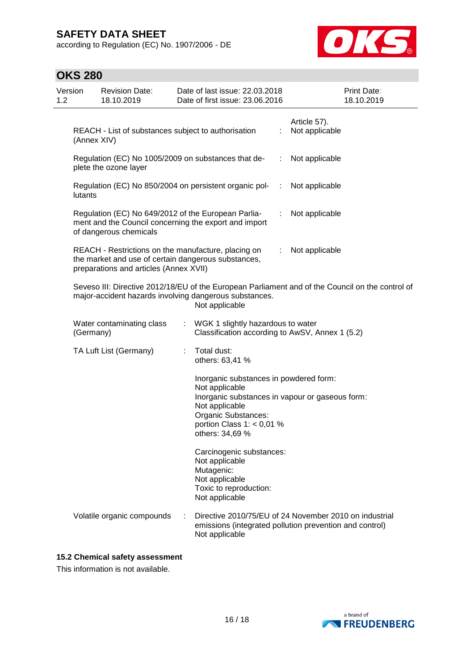according to Regulation (EC) No. 1907/2006 - DE



| <b>OKS 280</b> |
|----------------|
|----------------|

| Version<br>1.2 |                                                                                                                                                                              | <b>Revision Date:</b><br>18.10.2019                                                                                                                  |                              | Date of last issue: 22.03.2018<br>Date of first issue: 23.06.2016                                                                                   |    | Print Date:<br>18.10.2019                                                                                         |
|----------------|------------------------------------------------------------------------------------------------------------------------------------------------------------------------------|------------------------------------------------------------------------------------------------------------------------------------------------------|------------------------------|-----------------------------------------------------------------------------------------------------------------------------------------------------|----|-------------------------------------------------------------------------------------------------------------------|
|                | (Annex XIV)                                                                                                                                                                  | REACH - List of substances subject to authorisation                                                                                                  |                              |                                                                                                                                                     | ÷  | Article 57).<br>Not applicable                                                                                    |
|                | Regulation (EC) No 1005/2009 on substances that de-<br>plete the ozone layer                                                                                                 |                                                                                                                                                      |                              | ÷                                                                                                                                                   |    | Not applicable                                                                                                    |
|                | lutants                                                                                                                                                                      |                                                                                                                                                      |                              | Regulation (EC) No 850/2004 on persistent organic pol-                                                                                              | ÷  | Not applicable                                                                                                    |
|                |                                                                                                                                                                              | Regulation (EC) No 649/2012 of the European Parlia-<br>of dangerous chemicals                                                                        |                              | ment and the Council concerning the export and import                                                                                               | ÷. | Not applicable                                                                                                    |
|                |                                                                                                                                                                              | REACH - Restrictions on the manufacture, placing on<br>the market and use of certain dangerous substances,<br>preparations and articles (Annex XVII) |                              |                                                                                                                                                     | ÷. | Not applicable                                                                                                    |
|                | Seveso III: Directive 2012/18/EU of the European Parliament and of the Council on the control of<br>major-accident hazards involving dangerous substances.<br>Not applicable |                                                                                                                                                      |                              |                                                                                                                                                     |    |                                                                                                                   |
|                | (Germany)                                                                                                                                                                    | Water contaminating class                                                                                                                            | $\mathcal{L}_{\mathrm{eff}}$ | WGK 1 slightly hazardous to water<br>Classification according to AwSV, Annex 1 (5.2)                                                                |    |                                                                                                                   |
|                |                                                                                                                                                                              | TA Luft List (Germany)                                                                                                                               |                              | Total dust:<br>others: 63,41 %                                                                                                                      |    |                                                                                                                   |
|                |                                                                                                                                                                              |                                                                                                                                                      |                              | Inorganic substances in powdered form:<br>Not applicable<br>Not applicable<br>Organic Substances:<br>portion Class $1: < 0.01$ %<br>others: 34,69 % |    | Inorganic substances in vapour or gaseous form:                                                                   |
|                |                                                                                                                                                                              |                                                                                                                                                      |                              | Carcinogenic substances:<br>Not applicable<br>Mutagenic:<br>Not applicable<br>Toxic to reproduction:<br>Not applicable                              |    |                                                                                                                   |
|                |                                                                                                                                                                              | Volatile organic compounds                                                                                                                           |                              | Not applicable                                                                                                                                      |    | Directive 2010/75/EU of 24 November 2010 on industrial<br>emissions (integrated pollution prevention and control) |

#### **15.2 Chemical safety assessment**

This information is not available.

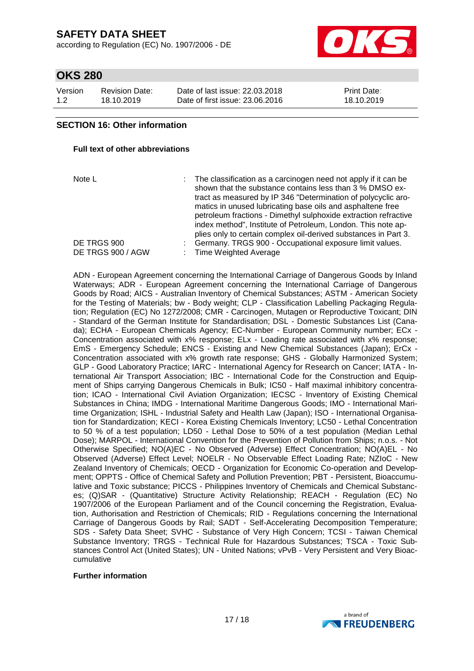according to Regulation (EC) No. 1907/2006 - DE



### **OKS 280**

| Version | Revision Date: | Date of last issue: 22,03,2018  | <b>Print Date:</b> |
|---------|----------------|---------------------------------|--------------------|
| 1.2     | 18.10.2019     | Date of first issue: 23,06,2016 | 18.10.2019         |

#### **SECTION 16: Other information**

#### **Full text of other abbreviations**

Note L **interpollar interpretation as a carcinogen need not apply if it can be** shown that the substance contains less than 3 % DMSO extract as measured by IP 346 "Determination of polycyclic aromatics in unused lubricating base oils and asphaltene free petroleum fractions - Dimethyl sulphoxide extraction refractive index method", Institute of Petroleum, London. This note applies only to certain complex oil-derived substances in Part 3. DE TRGS 900 : Germany. TRGS 900 - Occupational exposure limit values. DE TRGS 900 / AGW : Time Weighted Average

ADN - European Agreement concerning the International Carriage of Dangerous Goods by Inland Waterways; ADR - European Agreement concerning the International Carriage of Dangerous Goods by Road; AICS - Australian Inventory of Chemical Substances; ASTM - American Society for the Testing of Materials; bw - Body weight; CLP - Classification Labelling Packaging Regulation; Regulation (EC) No 1272/2008; CMR - Carcinogen, Mutagen or Reproductive Toxicant; DIN - Standard of the German Institute for Standardisation; DSL - Domestic Substances List (Canada); ECHA - European Chemicals Agency; EC-Number - European Community number; ECx - Concentration associated with x% response; ELx - Loading rate associated with x% response; EmS - Emergency Schedule; ENCS - Existing and New Chemical Substances (Japan); ErCx - Concentration associated with x% growth rate response; GHS - Globally Harmonized System; GLP - Good Laboratory Practice; IARC - International Agency for Research on Cancer; IATA - International Air Transport Association; IBC - International Code for the Construction and Equipment of Ships carrying Dangerous Chemicals in Bulk; IC50 - Half maximal inhibitory concentration; ICAO - International Civil Aviation Organization; IECSC - Inventory of Existing Chemical Substances in China; IMDG - International Maritime Dangerous Goods; IMO - International Maritime Organization; ISHL - Industrial Safety and Health Law (Japan); ISO - International Organisation for Standardization; KECI - Korea Existing Chemicals Inventory; LC50 - Lethal Concentration to 50 % of a test population; LD50 - Lethal Dose to 50% of a test population (Median Lethal Dose); MARPOL - International Convention for the Prevention of Pollution from Ships; n.o.s. - Not Otherwise Specified; NO(A)EC - No Observed (Adverse) Effect Concentration; NO(A)EL - No Observed (Adverse) Effect Level; NOELR - No Observable Effect Loading Rate; NZIoC - New Zealand Inventory of Chemicals; OECD - Organization for Economic Co-operation and Development; OPPTS - Office of Chemical Safety and Pollution Prevention; PBT - Persistent, Bioaccumulative and Toxic substance; PICCS - Philippines Inventory of Chemicals and Chemical Substances; (Q)SAR - (Quantitative) Structure Activity Relationship; REACH - Regulation (EC) No 1907/2006 of the European Parliament and of the Council concerning the Registration, Evaluation, Authorisation and Restriction of Chemicals; RID - Regulations concerning the International Carriage of Dangerous Goods by Rail; SADT - Self-Accelerating Decomposition Temperature; SDS - Safety Data Sheet; SVHC - Substance of Very High Concern; TCSI - Taiwan Chemical Substance Inventory; TRGS - Technical Rule for Hazardous Substances; TSCA - Toxic Substances Control Act (United States); UN - United Nations; vPvB - Very Persistent and Very Bioaccumulative

#### **Further information**